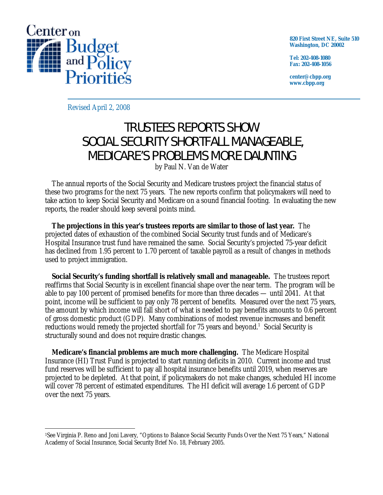

**820 First Street NE, Suite 510 Washington, DC 20002** 

**Tel: 202-408-1080 Fax: 202-408-1056** 

**center@cbpp.org www.cbpp.org** 

Revised April 2, 2008

## TRUSTEES REPORTS SHOW SOCIAL SECURITY SHORTFALL MANAGEABLE, MEDICARE'S PROBLEMS MORE DAUNTING

by Paul N. Van de Water

 The annual reports of the Social Security and Medicare trustees project the financial status of these two programs for the next 75 years. The new reports confirm that policymakers will need to take action to keep Social Security and Medicare on a sound financial footing. In evaluating the new reports, the reader should keep several points mind.

**The projections in this year's trustees reports are similar to those of last year.** The projected dates of exhaustion of the combined Social Security trust funds and of Medicare's Hospital Insurance trust fund have remained the same. Social Security's projected 75-year deficit has declined from 1.95 percent to 1.70 percent of taxable payroll as a result of changes in methods used to project immigration.

**Social Security's funding shortfall is relatively small and manageable.** The trustees report reaffirms that Social Security is in excellent financial shape over the near term. The program will be able to pay 100 percent of promised benefits for more than three decades — until 2041. At that point, income will be sufficient to pay only 78 percent of benefits. Measured over the next 75 years, the amount by which income will fall short of what is needed to pay benefits amounts to 0.6 percent of gross domestic product (GDP). Many combinations of modest revenue increases and benefit reductions would remedy the projected shortfall for 75 years and beyond.<sup>1</sup> Social Security is structurally sound and does not require drastic changes.

**Medicare's financial problems are much more challenging.** The Medicare Hospital Insurance (HI) Trust Fund is projected to start running deficits in 2010. Current income and trust fund reserves will be sufficient to pay all hospital insurance benefits until 2019, when reserves are projected to be depleted. At that point, if policymakers do not make changes, scheduled HI income will cover 78 percent of estimated expenditures. The HI deficit will average 1.6 percent of GDP over the next 75 years.

 $\overline{a}$ 1See Virginia P. Reno and Joni Lavery, "Options to Balance Social Security Funds Over the Next 75 Years," National Academy of Social Insurance, Social Security Brief No. 18, February 2005.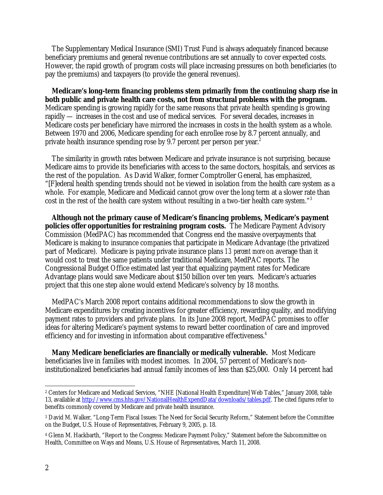The Supplementary Medical Insurance (SMI) Trust Fund is always adequately financed because beneficiary premiums and general revenue contributions are set annually to cover expected costs. However, the rapid growth of program costs will place increasing pressures on both beneficiaries (to pay the premiums) and taxpayers (to provide the general revenues).

**Medicare's long-term financing problems stem primarily from the continuing sharp rise in both public and private health care costs, not from structural problems with the program.** Medicare spending is growing rapidly for the same reasons that private health spending is growing rapidly — increases in the cost and use of medical services. For several decades, increases in Medicare costs per beneficiary have mirrored the increases in costs in the health system as a whole. Between 1970 and 2006, Medicare spending for each enrollee rose by 8.7 percent annually, and private health insurance spending rose by 9.7 percent per person per year.<sup>2</sup>

 The similarity in growth rates between Medicare and private insurance is not surprising, because Medicare aims to provide its beneficiaries with access to the same doctors, hospitals, and services as the rest of the population. As David Walker, former Comptroller General, has emphasized, "[F]ederal health spending trends should not be viewed in isolation from the health care system as a whole. For example, Medicare and Medicaid cannot grow over the long term at a slower rate than cost in the rest of the health care system without resulting in a two-tier health care system."3

**Although not the primary cause of Medicare's financing problems, Medicare's payment policies offer opportunities for restraining program costs.** The Medicare Payment Advisory Commission (MedPAC) has recommended that Congress end the massive overpayments that Medicare is making to insurance companies that participate in Medicare Advantage (the privatized part of Medicare). Medicare is paying private insurance plans *13 percent more* on average than it would cost to treat the same patients under traditional Medicare, MedPAC reports. The Congressional Budget Office estimated last year that equalizing payment rates for Medicare Advantage plans would save Medicare about \$150 billion over ten years. Medicare's actuaries project that this one step alone would extend Medicare's solvency by 18 months.

 MedPAC's March 2008 report contains additional recommendations to slow the growth in Medicare expenditures by creating incentives for greater efficiency, rewarding quality, and modifying payment rates to providers and private plans. In its June 2008 report, MedPAC promises to offer ideas for altering Medicare's payment systems to reward better coordination of care and improved efficiency and for investing in information about comparative effectiveness.<sup>4</sup>

**Many Medicare beneficiaries are financially or medically vulnerable.** Most Medicare beneficiaries live in families with modest incomes. In 2004, 57 percent of Medicare's noninstitutionalized beneficiaries had annual family incomes of less than \$25,000. Only 14 percent had

 $\overline{a}$ 

<sup>2</sup> Centers for Medicare and Medicaid Services, "NHE [National Health Expenditure] Web Tables," January 2008, table 13, available at http://www.cms.hhs.gov/NationalHealthExpendData/downloads/tables.pdf. The cited figures refer to benefits commonly covered by Medicare and private health insurance.

<sup>3</sup> David M. Walker, "Long-Term Fiscal Issues: The Need for Social Security Reform," Statement before the Committee on the Budget, U.S. House of Representatives, February 9, 2005, p. 18.

<sup>4</sup> Glenn M. Hackbarth, "Report to the Congress: Medicare Payment Policy," Statement before the Subcommittee on Health, Committee on Ways and Means, U.S. House of Representatives, March 11, 2008.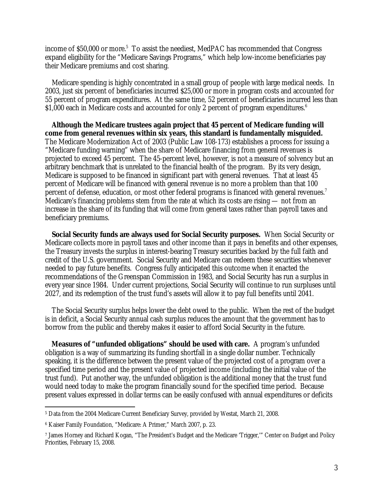income of \$50,000 or more. $5$  To assist the neediest, MedPAC has recommended that Congress expand eligibility for the "Medicare Savings Programs," which help low-income beneficiaries pay their Medicare premiums and cost sharing.

 Medicare spending is highly concentrated in a small group of people with large medical needs. In 2003, just six percent of beneficiaries incurred \$25,000 or more in program costs and accounted for 55 percent of program expenditures. At the same time, 52 percent of beneficiaries incurred less than \$1,000 each in Medicare costs and accounted for only 2 percent of program expenditures.<sup>6</sup>

 **Although the Medicare trustees again project that 45 percent of Medicare funding will come from general revenues within six years, this standard is fundamentally misguided.** The Medicare Modernization Act of 2003 (Public Law 108-173) establishes a process for issuing a "Medicare funding warning" when the share of Medicare financing from general revenues is projected to exceed 45 percent. The 45-percent level, however, is not a measure of solvency but an arbitrary benchmark that is unrelated to the financial health of the program. By its very design, Medicare is supposed to be financed in significant part with general revenues. That at least 45 percent of Medicare will be financed with general revenue is no more a problem than that 100 percent of defense, education, or most other federal programs is financed with general revenues.<sup>7</sup> Medicare's financing problems stem from the rate at which its costs are rising — not from an increase in the share of its funding that will come from general taxes rather than payroll taxes and beneficiary premiums.

**Social Security funds are always used for Social Security purposes.** When Social Security or Medicare collects more in payroll taxes and other income than it pays in benefits and other expenses, the Treasury invests the surplus in interest-bearing Treasury securities backed by the full faith and credit of the U.S. government. Social Security and Medicare can redeem these securities whenever needed to pay future benefits. Congress fully anticipated this outcome when it enacted the recommendations of the Greenspan Commission in 1983, and Social Security has run a surplus in every year since 1984. Under current projections, Social Security will continue to run surpluses until 2027, and its redemption of the trust fund's assets will allow it to pay full benefits until 2041.

 The Social Security surplus helps lower the debt owed to the public. When the rest of the budget is in deficit, a Social Security annual cash surplus reduces the amount that the government has to borrow from the public and thereby makes it easier to afford Social Security in the future.

**Measures of "unfunded obligations" should be used with care.** A program's unfunded obligation is a way of summarizing its funding shortfall in a single dollar number. Technically speaking, it is the difference between the present value of the projected cost of a program over a specified time period and the present value of projected income (including the initial value of the trust fund). Put another way, the unfunded obligation is the additional money that the trust fund would need today to make the program financially sound for the specified time period. Because present values expressed in dollar terms can be easily confused with annual expenditures or deficits

 $\overline{a}$ 

<sup>5</sup> Data from the 2004 Medicare Current Beneficiary Survey, provided by Westat, March 21, 2008.

<sup>6</sup> Kaiser Family Foundation, "Medicare: A Primer," March 2007, p. 23.

<sup>7</sup> James Horney and Richard Kogan, "The President's Budget and the Medicare 'Trigger,'" Center on Budget and Policy Priorities, February 15, 2008.